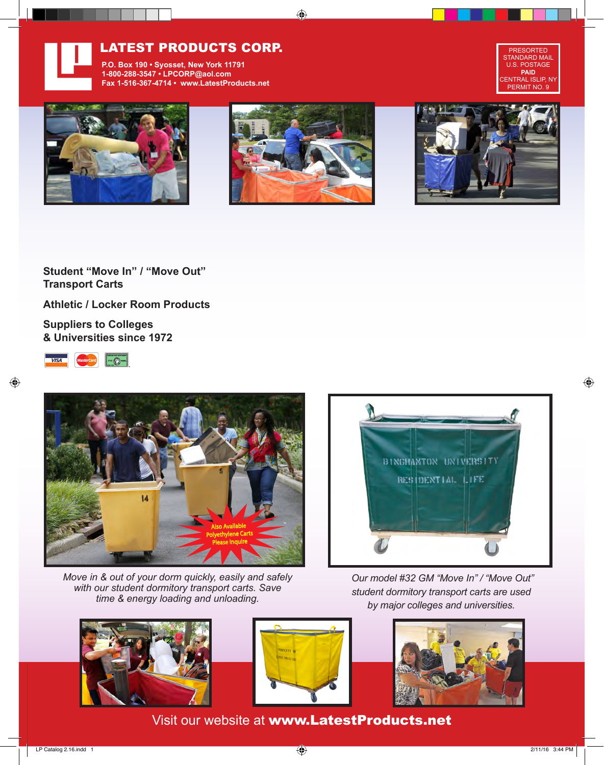

## LATEST PRODUCTS CORP.

**P.O. Box 190 • Syosset, New York 11791 1-800-288-3547 • LPCORP@aol.com Fax 1-516-367-4714 • www.LatestProducts.net**









**Student "Move In" / "Move Out" Transport Carts**

**Athletic / Locker Room Products**

**Suppliers to Colleges & Universities since 1972**





*Move in & out of your dorm quickly, easily and safely with our student dormitory transport carts. Save time & energy loading and unloading.*



 *Our model #32 GM "Move In" / "Move Out" student dormitory transport carts are used by major colleges and universities.*







Visit our website at www.LatestProducts.net